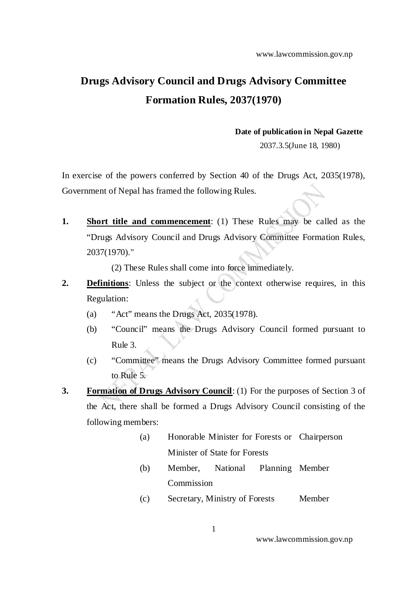www.lawcommission.gov.np

## **Drugs Advisory Council and Drugs Advisory Committee Formation Rules, 2037(1970)**

## **Date of publication in Nepal Gazette**

2037.3.5(June 18, 1980)

In exercise of the powers conferred by Section 40 of the Drugs Act, 2035(1978), Government of Nepal has framed the following Rules.

**1. Short title and commencement**: (1) These Rules may be called as the "Drugs Advisory Council and Drugs Advisory Committee Formation Rules, 2037(1970)."

(2) These Rules shall come into force immediately.

- **2. Definitions**: Unless the subject or the context otherwise requires, in this Regulation:
	- (a) "Act" means the Drugs Act, 2035(1978).
	- (b) "Council" means the Drugs Advisory Council formed pursuant to Rule 3.
	- (c) "Committee" means the Drugs Advisory Committee formed pursuant to Rule 5.
- **3. Formation of Drugs Advisory Council**: (1) For the purposes of Section 3 of the Act, there shall be formed a Drugs Advisory Council consisting of the following members:
	- (a) Honorable Minister for Forests or Chairperson Minister of State for Forests
	- (b) Member, National Commission Planning Member
	- (c) Secretary, Ministry of Forests Member

www.lawcommission.gov.np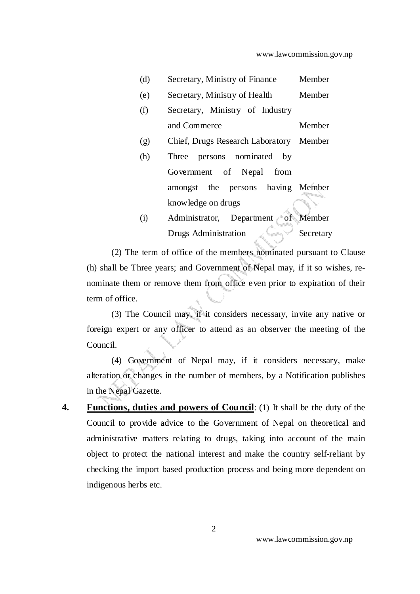| (d) | Secretary, Ministry of Finance          | Member    |
|-----|-----------------------------------------|-----------|
| (e) | Secretary, Ministry of Health           | Member    |
| (f) | Secretary, Ministry of Industry         |           |
|     | and Commerce                            | Member    |
| (g) | Chief, Drugs Research Laboratory Member |           |
| (h) | persons nominated by<br>Three           |           |
|     | Government of Nepal<br>from             |           |
|     | amongst the persons having Member       |           |
|     | knowledge on drugs                      |           |
| (i) | Administrator, Department               | of Member |
|     | Drugs Administration                    | Secretary |

(2) The term of office of the members nominated pursuant to Clause (h) shall be Three years; and Government of Nepal may, if it so wishes, renominate them or remove them from office even prior to expiration of their term of office.

(3) The Council may, if it considers necessary, invite any native or foreign expert or any officer to attend as an observer the meeting of the Council.

(4) Government of Nepal may, if it considers necessary, make alteration or changes in the number of members, by a Notification publishes in the Nepal Gazette.

**4. Functions, duties and powers of Council**: (1) It shall be the duty of the Council to provide advice to the Government of Nepal on theoretical and administrative matters relating to drugs, taking into account of the main object to protect the national interest and make the country self-reliant by checking the import based production process and being more dependent on indigenous herbs etc.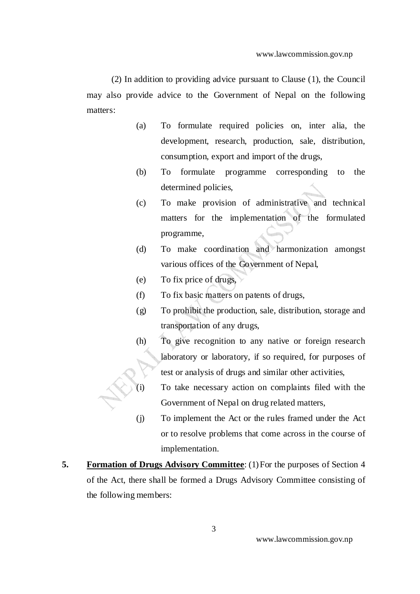(2) In addition to providing advice pursuant to Clause (1), the Council may also provide advice to the Government of Nepal on the following matters:

- (a) To formulate required policies on, inter alia, the development, research, production, sale, distribution, consumption, export and import of the drugs,
- (b) To formulate programme corresponding to the determined policies,
- (c) To make provision of administrative and technical matters for the implementation of the formulated programme,
- (d) To make coordination and harmonization amongst various offices of the Government of Nepal,
- (e) To fix price of drugs,
- (f) To fix basic matters on patents of drugs,
- (g) To prohibit the production, sale, distribution, storage and transportation of any drugs,
- (h) To give recognition to any native or foreign research laboratory or laboratory, if so required, for purposes of test or analysis of drugs and similar other activities,
- $(i)$  To take necessary action on complaints filed with the Government of Nepal on drug related matters,
- (j) To implement the Act or the rules framed under the Act or to resolve problems that come across in the course of implementation.
- **5. Formation of Drugs Advisory Committee**: (1) For the purposes of Section 4 of the Act, there shall be formed a Drugs Advisory Committee consisting of the following members: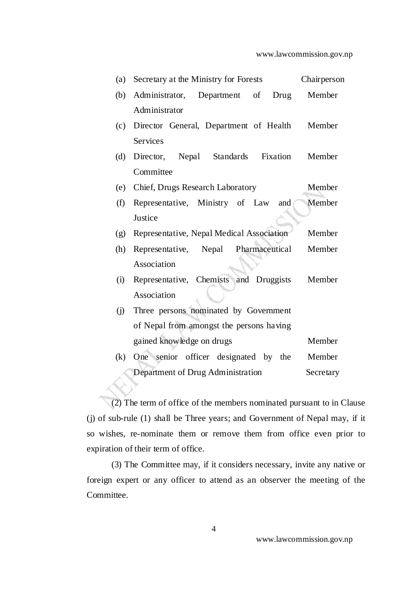| (a)                                            | Secretary at the Ministry for Forests     | Chairperson |  |
|------------------------------------------------|-------------------------------------------|-------------|--|
| (b)                                            | Administrator, Department of<br>Drug      | Member      |  |
|                                                | Administrator                             |             |  |
| (c)                                            | Director General, Department of Health    | Member      |  |
|                                                | <b>Services</b>                           |             |  |
| (d)                                            | Director, Nepal Standards Fixation        | Member      |  |
|                                                | Committee                                 |             |  |
| (e)                                            | Chief, Drugs Research Laboratory          | Member      |  |
| (f)                                            | Representative, Ministry of Law<br>and    | Member      |  |
|                                                | Justice                                   |             |  |
| (g)                                            | Representative, Nepal Medical Association | Member      |  |
| (h)                                            | Representative, Nepal<br>Pharmaceutical   | Member      |  |
|                                                | Association                               |             |  |
| (i)                                            | Representative, Chemists and Druggists    | Member      |  |
|                                                | Association                               |             |  |
| (i)                                            | Three persons nominated by Government     |             |  |
|                                                | of Nepal from amongst the persons having  |             |  |
|                                                | gained knowledge on drugs                 | Member      |  |
| (k)                                            | One senior officer designated by the      | Member      |  |
| Department of Drug Administration<br>Secretary |                                           |             |  |

(2) The term of office of the members nominated pursuant to in Clause (j) of sub-rule (1) shall be Three years; and Government of Nepal may, if it so wishes, re-nominate them or remove them from office even prior to expiration of their term of office.

(3) The Committee may, if it considers necessary, invite any native or foreign expert or any officer to attend as an observer the meeting of the Committee.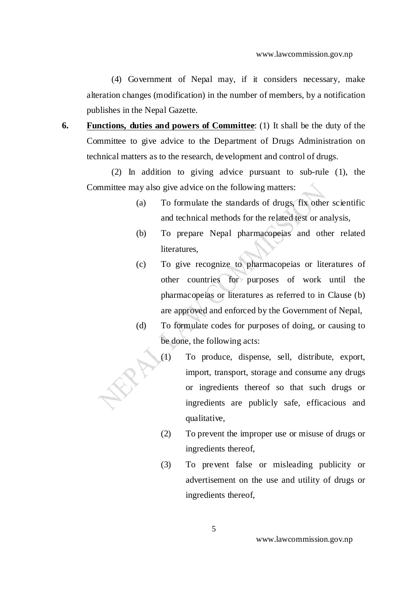(4) Government of Nepal may, if it considers necessary, make alteration changes (modification) in the number of members, by a notification publishes in the Nepal Gazette.

**6. Functions, duties and powers of Committee**: (1) It shall be the duty of the Committee to give advice to the Department of Drugs Administration on technical matters as to the research, development and control of drugs.

(2) In addition to giving advice pursuant to sub-rule (1), the Committee may also give advice on the following matters:

- (a) To formulate the standards of drugs, fix other scientific and technical methods for the related test or analysis,
- (b) To prepare Nepal pharmacopeias and other related literatures.
- (c) To give recognize to pharmacopeias or literatures of other countries for purposes of work until the pharmacopeias or literatures as referred to in Clause (b) are approved and enforced by the Government of Nepal,
- (d) To formulate codes for purposes of doing, or causing to be done, the following acts:
	- (1) To produce, dispense, sell, distribute, export, import, transport, storage and consume any drugs or ingredients thereof so that such drugs or ingredients are publicly safe, efficacious and qualitative,
		- (2) To prevent the improper use or misuse of drugs or ingredients thereof,
		- (3) To prevent false or misleading publicity or advertisement on the use and utility of drugs or ingredients thereof,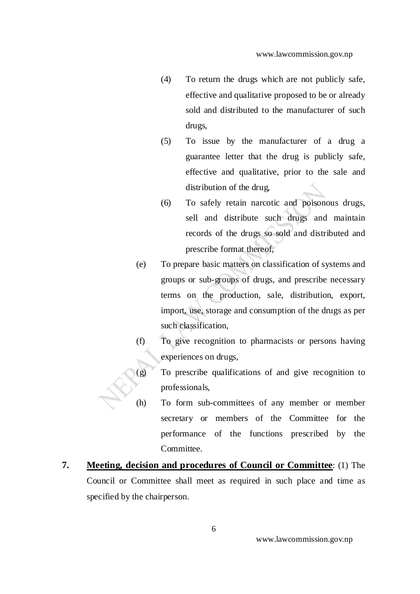- (4) To return the drugs which are not publicly safe, effective and qualitative proposed to be or already sold and distributed to the manufacturer of such drugs,
- (5) To issue by the manufacturer of a drug a guarantee letter that the drug is publicly safe, effective and qualitative, prior to the sale and distribution of the drug,
- (6) To safely retain narcotic and poisonous drugs, sell and distribute such drugs and maintain records of the drugs so sold and distributed and prescribe format thereof,
- (e) To prepare basic matters on classification of systems and groups or sub-groups of drugs, and prescribe necessary terms on the production, sale, distribution, export, import, use, storage and consumption of the drugs as per such classification,
- (f) To give recognition to pharmacists or persons having experiences on drugs,
- (g) To prescribe qualifications of and give recognition to professionals,
- (h) To form sub-committees of any member or member secretary or members of the Committee for the performance of the functions prescribed by the Committee.
- **7. Meeting, decision and procedures of Council or Committee**: (1) The Council or Committee shall meet as required in such place and time as specified by the chairperson.

www.lawcommission.gov.np